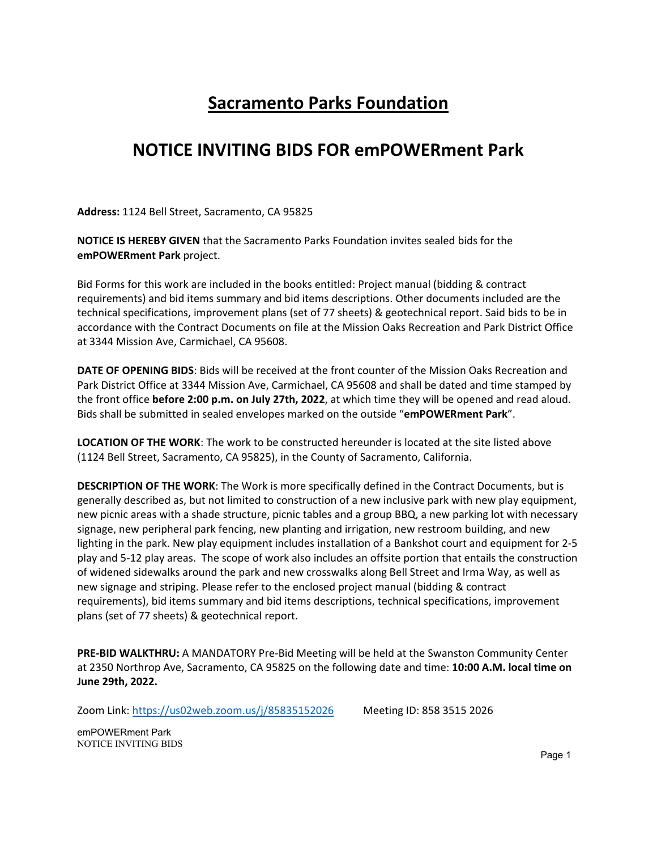## **Sacramento Parks Foundation**

## **NOTICE INVITING BIDS FOR emPOWERment Park**

**Address:** 1124 Bell Street, Sacramento, CA 95825

**NOTICE IS HEREBY GIVEN** that the Sacramento Parks Foundation invites sealed bids for the **emPOWERment Park** project.

Bid Forms for this work are included in the books entitled: Project manual (bidding & contract requirements) and bid items summary and bid items descriptions. Other documents included are the technical specifications, improvement plans (set of 77 sheets) & geotechnical report. Said bids to be in accordance with the Contract Documents on file at the Mission Oaks Recreation and Park District Office at 3344 Mission Ave, Carmichael, CA 95608.

**DATE OF OPENING BIDS**: Bids will be received at the front counter of the Mission Oaks Recreation and Park District Office at 3344 Mission Ave, Carmichael, CA 95608 and shall be dated and time stamped by the front office **before 2:00 p.m. on July 27th, 2022**, at which time they will be opened and read aloud. Bids shall be submitted in sealed envelopes marked on the outside "**emPOWERment Park**".

**LOCATION OF THE WORK**: The work to be constructed hereunder is located at the site listed above (1124 Bell Street, Sacramento, CA 95825), in the County of Sacramento, California.

**DESCRIPTION OF THE WORK**: The Work is more specifically defined in the Contract Documents, but is generally described as, but not limited to construction of a new inclusive park with new play equipment, new picnic areas with a shade structure, picnic tables and a group BBQ, a new parking lot with necessary signage, new peripheral park fencing, new planting and irrigation, new restroom building, and new lighting in the park. New play equipment includes installation of a Bankshot court and equipment for 2‐5 play and 5‐12 play areas. The scope of work also includes an offsite portion that entails the construction of widened sidewalks around the park and new crosswalks along Bell Street and Irma Way, as well as new signage and striping. Please refer to the enclosed project manual (bidding & contract requirements), bid items summary and bid items descriptions, technical specifications, improvement plans (set of 77 sheets) & geotechnical report.

**PRE‐BID WALKTHRU:** A MANDATORY Pre‐Bid Meeting will be held at the Swanston Community Center at 2350 Northrop Ave, Sacramento, CA 95825 on the following date and time: **10:00 A.M. local time on June 29th, 2022.**

Zoom Link: https://us02web.zoom.us/j/85835152026 Meeting ID: 858 3515 2026

emPOWERment Park NOTICE INVITING BIDS